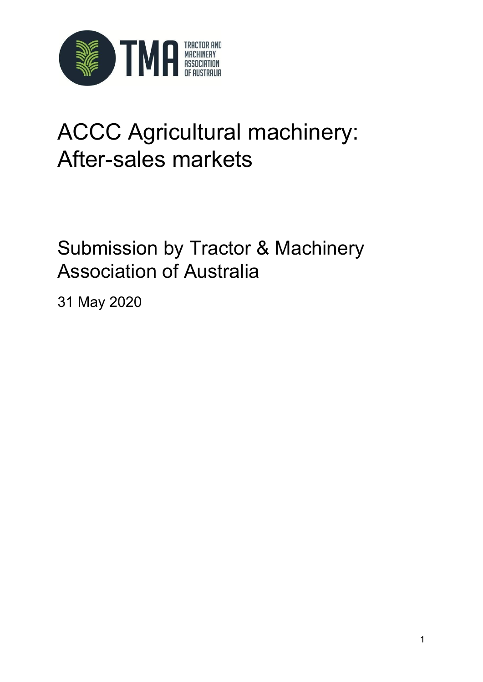

# ACCC Agricultural machinery: After-sales markets

## Submission by Tractor & Machinery Association of Australia

31 May 2020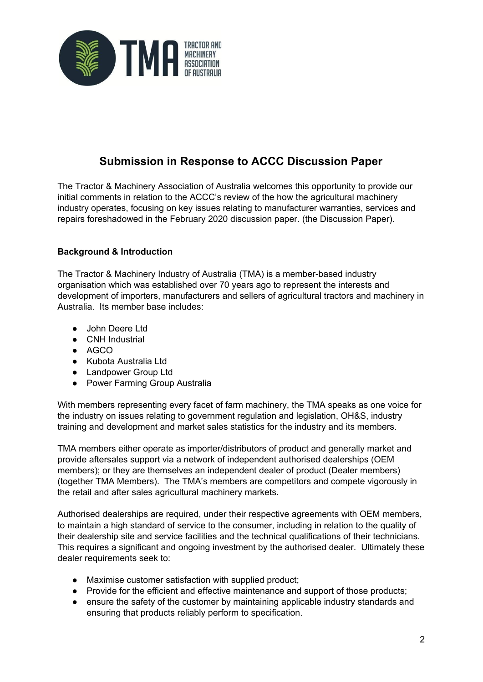

### **Submission in Response to ACCC Discussion Paper**

The Tractor & Machinery Association of Australia welcomes this opportunity to provide our initial comments in relation to the ACCC's review of the how the agricultural machinery industry operates, focusing on key issues relating to manufacturer warranties, services and repairs foreshadowed in the February 2020 discussion paper. (the Discussion Paper).

#### **Background & Introduction**

The Tractor & Machinery Industry of Australia (TMA) is a member-based industry organisation which was established over 70 years ago to represent the interests and development of importers, manufacturers and sellers of agricultural tractors and machinery in Australia. Its member base includes:

- John Deere Ltd
- CNH Industrial
- AGCO
- Kubota Australia Ltd
- Landpower Group Ltd
- Power Farming Group Australia

With members representing every facet of farm machinery, the TMA speaks as one voice for the industry on issues relating to government regulation and legislation, OH&S, industry training and development and market sales statistics for the industry and its members.

TMA members either operate as importer/distributors of product and generally market and provide aftersales support via a network of independent authorised dealerships (OEM members); or they are themselves an independent dealer of product (Dealer members) (together TMA Members). The TMA's members are competitors and compete vigorously in the retail and after sales agricultural machinery markets.

Authorised dealerships are required, under their respective agreements with OEM members, to maintain a high standard of service to the consumer, including in relation to the quality of their dealership site and service facilities and the technical qualifications of their technicians. This requires a significant and ongoing investment by the authorised dealer. Ultimately these dealer requirements seek to:

- Maximise customer satisfaction with supplied product;
- Provide for the efficient and effective maintenance and support of those products;
- ensure the safety of the customer by maintaining applicable industry standards and ensuring that products reliably perform to specification.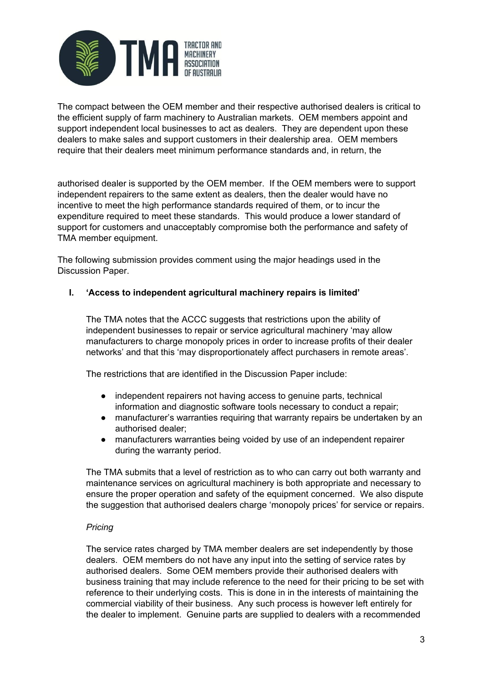

The compact between the OEM member and their respective authorised dealers is critical to the efficient supply of farm machinery to Australian markets. OEM members appoint and support independent local businesses to act as dealers. They are dependent upon these dealers to make sales and support customers in their dealership area. OEM members require that their dealers meet minimum performance standards and, in return, the

authorised dealer is supported by the OEM member. If the OEM members were to support independent repairers to the same extent as dealers, then the dealer would have no incentive to meet the high performance standards required of them, or to incur the expenditure required to meet these standards. This would produce a lower standard of support for customers and unacceptably compromise both the performance and safety of TMA member equipment.

The following submission provides comment using the major headings used in the Discussion Paper.

#### **I. 'Access to independent agricultural machinery repairs is limited'**

The TMA notes that the ACCC suggests that restrictions upon the ability of independent businesses to repair or service agricultural machinery 'may allow manufacturers to charge monopoly prices in order to increase profits of their dealer networks' and that this 'may disproportionately affect purchasers in remote areas'.

The restrictions that are identified in the Discussion Paper include:

- independent repairers not having access to genuine parts, technical information and diagnostic software tools necessary to conduct a repair;
- manufacturer's warranties requiring that warranty repairs be undertaken by an authorised dealer;
- manufacturers warranties being voided by use of an independent repairer during the warranty period.

The TMA submits that a level of restriction as to who can carry out both warranty and maintenance services on agricultural machinery is both appropriate and necessary to ensure the proper operation and safety of the equipment concerned. We also dispute the suggestion that authorised dealers charge 'monopoly prices' for service or repairs.

#### *Pricing*

The service rates charged by TMA member dealers are set independently by those dealers. OEM members do not have any input into the setting of service rates by authorised dealers. Some OEM members provide their authorised dealers with business training that may include reference to the need for their pricing to be set with reference to their underlying costs. This is done in in the interests of maintaining the commercial viability of their business. Any such process is however left entirely for the dealer to implement. Genuine parts are supplied to dealers with a recommended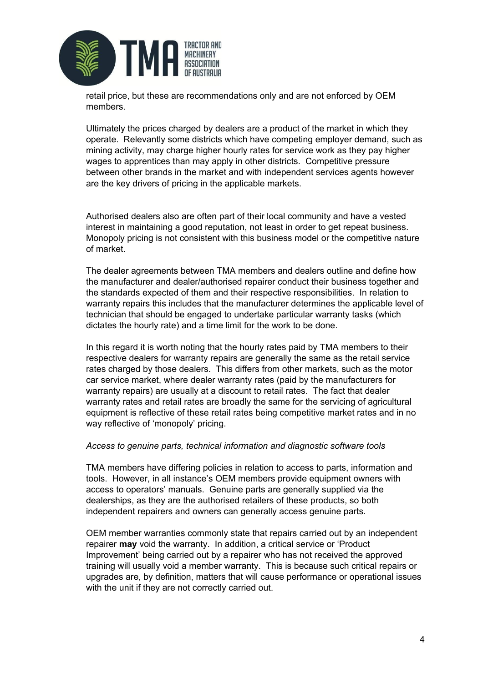

retail price, but these are recommendations only and are not enforced by OEM members.

Ultimately the prices charged by dealers are a product of the market in which they operate. Relevantly some districts which have competing employer demand, such as mining activity, may charge higher hourly rates for service work as they pay higher wages to apprentices than may apply in other districts. Competitive pressure between other brands in the market and with independent services agents however are the key drivers of pricing in the applicable markets.

Authorised dealers also are often part of their local community and have a vested interest in maintaining a good reputation, not least in order to get repeat business. Monopoly pricing is not consistent with this business model or the competitive nature of market.

The dealer agreements between TMA members and dealers outline and define how the manufacturer and dealer/authorised repairer conduct their business together and the standards expected of them and their respective responsibilities. In relation to warranty repairs this includes that the manufacturer determines the applicable level of technician that should be engaged to undertake particular warranty tasks (which dictates the hourly rate) and a time limit for the work to be done.

In this regard it is worth noting that the hourly rates paid by TMA members to their respective dealers for warranty repairs are generally the same as the retail service rates charged by those dealers. This differs from other markets, such as the motor car service market, where dealer warranty rates (paid by the manufacturers for warranty repairs) are usually at a discount to retail rates. The fact that dealer warranty rates and retail rates are broadly the same for the servicing of agricultural equipment is reflective of these retail rates being competitive market rates and in no way reflective of 'monopoly' pricing.

#### *Access to genuine parts, technical information and diagnostic software tools*

TMA members have differing policies in relation to access to parts, information and tools. However, in all instance's OEM members provide equipment owners with access to operators' manuals. Genuine parts are generally supplied via the dealerships, as they are the authorised retailers of these products, so both independent repairers and owners can generally access genuine parts.

OEM member warranties commonly state that repairs carried out by an independent repairer **may** void the warranty. In addition, a critical service or 'Product Improvement' being carried out by a repairer who has not received the approved training will usually void a member warranty. This is because such critical repairs or upgrades are, by definition, matters that will cause performance or operational issues with the unit if they are not correctly carried out.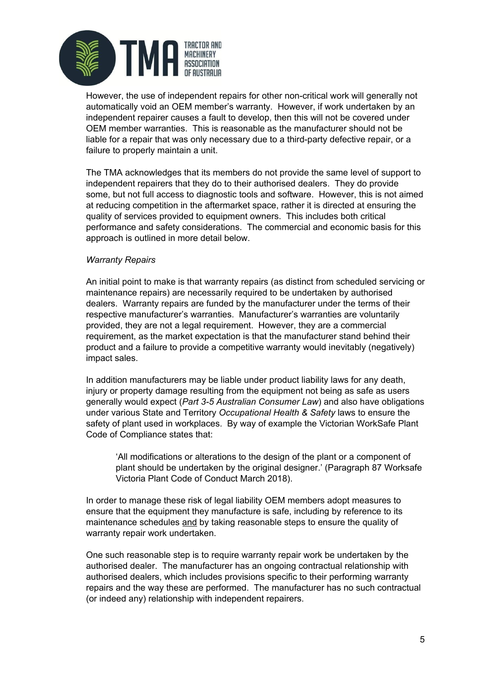

However, the use of independent repairs for other non-critical work will generally not automatically void an OEM member's warranty. However, if work undertaken by an independent repairer causes a fault to develop, then this will not be covered under OEM member warranties. This is reasonable as the manufacturer should not be liable for a repair that was only necessary due to a third-party defective repair, or a failure to properly maintain a unit.

The TMA acknowledges that its members do not provide the same level of support to independent repairers that they do to their authorised dealers. They do provide some, but not full access to diagnostic tools and software. However, this is not aimed at reducing competition in the aftermarket space, rather it is directed at ensuring the quality of services provided to equipment owners. This includes both critical performance and safety considerations. The commercial and economic basis for this approach is outlined in more detail below.

#### *Warranty Repairs*

An initial point to make is that warranty repairs (as distinct from scheduled servicing or maintenance repairs) are necessarily required to be undertaken by authorised dealers. Warranty repairs are funded by the manufacturer under the terms of their respective manufacturer's warranties. Manufacturer's warranties are voluntarily provided, they are not a legal requirement. However, they are a commercial requirement, as the market expectation is that the manufacturer stand behind their product and a failure to provide a competitive warranty would inevitably (negatively) impact sales.

In addition manufacturers may be liable under product liability laws for any death, injury or property damage resulting from the equipment not being as safe as users generally would expect (*Part 3-5 Australian Consumer Law*) and also have obligations under various State and Territory *Occupational Health & Safety* laws to ensure the safety of plant used in workplaces. By way of example the Victorian WorkSafe Plant Code of Compliance states that:

'All modifications or alterations to the design of the plant or a component of plant should be undertaken by the original designer.' (Paragraph 87 Worksafe Victoria Plant Code of Conduct March 2018).

In order to manage these risk of legal liability OEM members adopt measures to ensure that the equipment they manufacture is safe, including by reference to its maintenance schedules and by taking reasonable steps to ensure the quality of warranty repair work undertaken.

One such reasonable step is to require warranty repair work be undertaken by the authorised dealer. The manufacturer has an ongoing contractual relationship with authorised dealers, which includes provisions specific to their performing warranty repairs and the way these are performed. The manufacturer has no such contractual (or indeed any) relationship with independent repairers.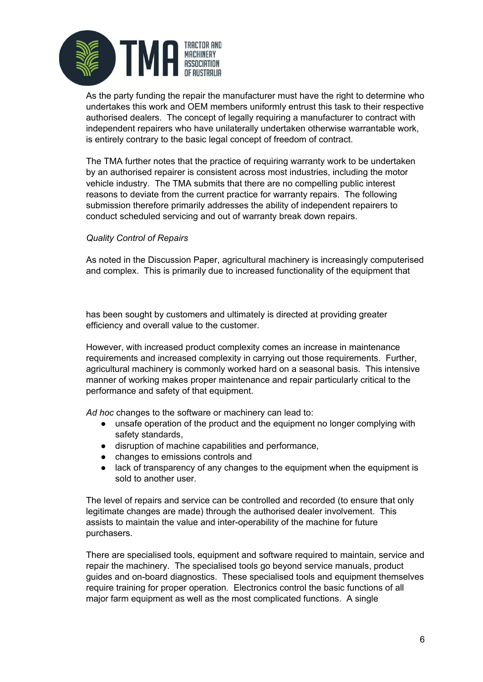

As the party funding the repair the manufacturer must have the right to determine who undertakes this work and OEM members uniformly entrust this task to their respective authorised dealers. The concept of legally requiring a manufacturer to contract with independent repairers who have unilaterally undertaken otherwise warrantable work, is entirely contrary to the basic legal concept of freedom of contract.

The TMA further notes that the practice of requiring warranty work to be undertaken by an authorised repairer is consistent across most industries, including the motor vehicle industry. The TMA submits that there are no compelling public interest reasons to deviate from the current practice for warranty repairs. The following submission therefore primarily addresses the ability of independent repairers to conduct scheduled servicing and out of warranty break down repairs.

#### *Quality Control of Repairs*

As noted in the Discussion Paper, agricultural machinery is increasingly computerised and complex. This is primarily due to increased functionality of the equipment that

has been sought by customers and ultimately is directed at providing greater efficiency and overall value to the customer.

However, with increased product complexity comes an increase in maintenance requirements and increased complexity in carrying out those requirements. Further, agricultural machinery is commonly worked hard on a seasonal basis. This intensive manner of working makes proper maintenance and repair particularly critical to the performance and safety of that equipment.

*Ad hoc* changes to the software or machinery can lead to:

- unsafe operation of the product and the equipment no longer complying with safety standards,
- disruption of machine capabilities and performance,
- changes to emissions controls and
- lack of transparency of any changes to the equipment when the equipment is sold to another user.

The level of repairs and service can be controlled and recorded (to ensure that only legitimate changes are made) through the authorised dealer involvement. This assists to maintain the value and inter-operability of the machine for future purchasers.

There are specialised tools, equipment and software required to maintain, service and repair the machinery. The specialised tools go beyond service manuals, product guides and on-board diagnostics. These specialised tools and equipment themselves require training for proper operation. Electronics control the basic functions of all major farm equipment as well as the most complicated functions. A single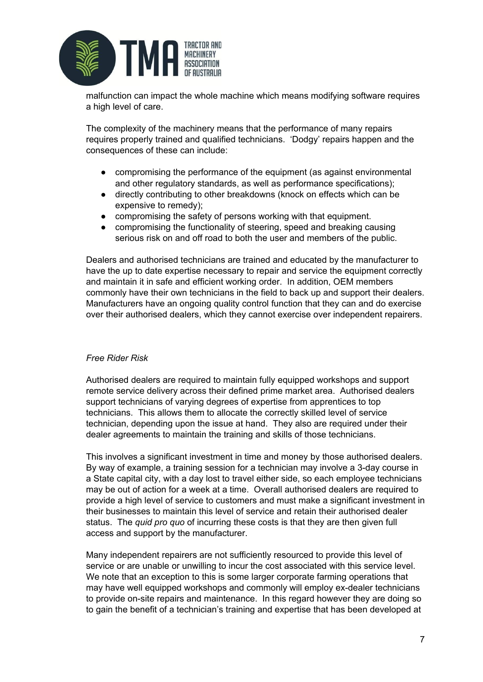

malfunction can impact the whole machine which means modifying software requires a high level of care.

The complexity of the machinery means that the performance of many repairs requires properly trained and qualified technicians. 'Dodgy' repairs happen and the consequences of these can include:

- compromising the performance of the equipment (as against environmental and other regulatory standards, as well as performance specifications);
- directly contributing to other breakdowns (knock on effects which can be expensive to remedy);
- compromising the safety of persons working with that equipment.
- compromising the functionality of steering, speed and breaking causing serious risk on and off road to both the user and members of the public.

Dealers and authorised technicians are trained and educated by the manufacturer to have the up to date expertise necessary to repair and service the equipment correctly and maintain it in safe and efficient working order. In addition, OEM members commonly have their own technicians in the field to back up and support their dealers. Manufacturers have an ongoing quality control function that they can and do exercise over their authorised dealers, which they cannot exercise over independent repairers.

#### *Free Rider Risk*

Authorised dealers are required to maintain fully equipped workshops and support remote service delivery across their defined prime market area. Authorised dealers support technicians of varying degrees of expertise from apprentices to top technicians. This allows them to allocate the correctly skilled level of service technician, depending upon the issue at hand. They also are required under their dealer agreements to maintain the training and skills of those technicians.

This involves a significant investment in time and money by those authorised dealers. By way of example, a training session for a technician may involve a 3-day course in a State capital city, with a day lost to travel either side, so each employee technicians may be out of action for a week at a time. Overall authorised dealers are required to provide a high level of service to customers and must make a significant investment in their businesses to maintain this level of service and retain their authorised dealer status. The *quid pro quo* of incurring these costs is that they are then given full access and support by the manufacturer.

Many independent repairers are not sufficiently resourced to provide this level of service or are unable or unwilling to incur the cost associated with this service level. We note that an exception to this is some larger corporate farming operations that may have well equipped workshops and commonly will employ ex-dealer technicians to provide on-site repairs and maintenance. In this regard however they are doing so to gain the benefit of a technician's training and expertise that has been developed at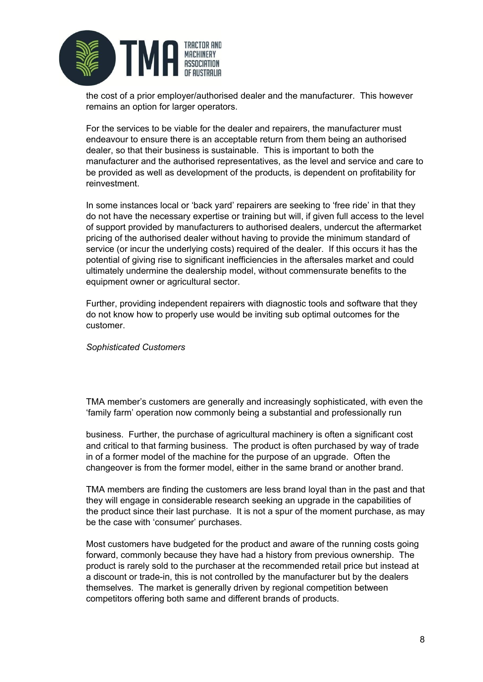

the cost of a prior employer/authorised dealer and the manufacturer. This however remains an option for larger operators.

For the services to be viable for the dealer and repairers, the manufacturer must endeavour to ensure there is an acceptable return from them being an authorised dealer, so that their business is sustainable. This is important to both the manufacturer and the authorised representatives, as the level and service and care to be provided as well as development of the products, is dependent on profitability for reinvestment.

In some instances local or 'back yard' repairers are seeking to 'free ride' in that they do not have the necessary expertise or training but will, if given full access to the level of support provided by manufacturers to authorised dealers, undercut the aftermarket pricing of the authorised dealer without having to provide the minimum standard of service (or incur the underlying costs) required of the dealer. If this occurs it has the potential of giving rise to significant inefficiencies in the aftersales market and could ultimately undermine the dealership model, without commensurate benefits to the equipment owner or agricultural sector.

Further, providing independent repairers with diagnostic tools and software that they do not know how to properly use would be inviting sub optimal outcomes for the customer.

#### *Sophisticated Customers*

TMA member's customers are generally and increasingly sophisticated, with even the 'family farm' operation now commonly being a substantial and professionally run

business. Further, the purchase of agricultural machinery is often a significant cost and critical to that farming business. The product is often purchased by way of trade in of a former model of the machine for the purpose of an upgrade. Often the changeover is from the former model, either in the same brand or another brand.

TMA members are finding the customers are less brand loyal than in the past and that they will engage in considerable research seeking an upgrade in the capabilities of the product since their last purchase. It is not a spur of the moment purchase, as may be the case with 'consumer' purchases.

Most customers have budgeted for the product and aware of the running costs going forward, commonly because they have had a history from previous ownership. The product is rarely sold to the purchaser at the recommended retail price but instead at a discount or trade-in, this is not controlled by the manufacturer but by the dealers themselves. The market is generally driven by regional competition between competitors offering both same and different brands of products.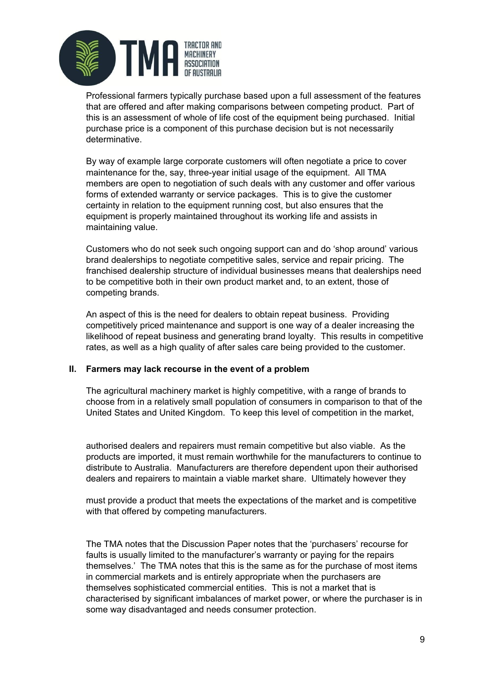

Professional farmers typically purchase based upon a full assessment of the features that are offered and after making comparisons between competing product. Part of this is an assessment of whole of life cost of the equipment being purchased. Initial purchase price is a component of this purchase decision but is not necessarily determinative.

By way of example large corporate customers will often negotiate a price to cover maintenance for the, say, three-year initial usage of the equipment. All TMA members are open to negotiation of such deals with any customer and offer various forms of extended warranty or service packages. This is to give the customer certainty in relation to the equipment running cost, but also ensures that the equipment is properly maintained throughout its working life and assists in maintaining value.

Customers who do not seek such ongoing support can and do 'shop around' various brand dealerships to negotiate competitive sales, service and repair pricing. The franchised dealership structure of individual businesses means that dealerships need to be competitive both in their own product market and, to an extent, those of competing brands.

An aspect of this is the need for dealers to obtain repeat business. Providing competitively priced maintenance and support is one way of a dealer increasing the likelihood of repeat business and generating brand loyalty. This results in competitive rates, as well as a high quality of after sales care being provided to the customer.

#### **II. Farmers may lack recourse in the event of a problem**

The agricultural machinery market is highly competitive, with a range of brands to choose from in a relatively small population of consumers in comparison to that of the United States and United Kingdom. To keep this level of competition in the market,

authorised dealers and repairers must remain competitive but also viable. As the products are imported, it must remain worthwhile for the manufacturers to continue to distribute to Australia. Manufacturers are therefore dependent upon their authorised dealers and repairers to maintain a viable market share. Ultimately however they

must provide a product that meets the expectations of the market and is competitive with that offered by competing manufacturers.

The TMA notes that the Discussion Paper notes that the 'purchasers' recourse for faults is usually limited to the manufacturer's warranty or paying for the repairs themselves.' The TMA notes that this is the same as for the purchase of most items in commercial markets and is entirely appropriate when the purchasers are themselves sophisticated commercial entities. This is not a market that is characterised by significant imbalances of market power, or where the purchaser is in some way disadvantaged and needs consumer protection.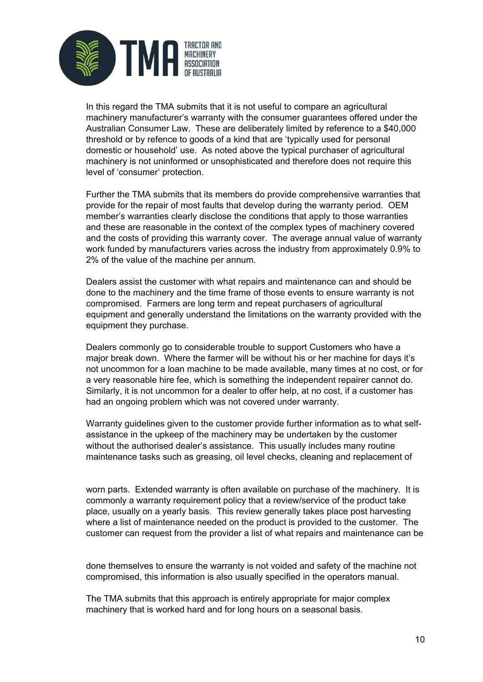

In this regard the TMA submits that it is not useful to compare an agricultural machinery manufacturer's warranty with the consumer guarantees offered under the Australian Consumer Law. These are deliberately limited by reference to a \$40,000 threshold or by refence to goods of a kind that are 'typically used for personal domestic or household' use. As noted above the typical purchaser of agricultural machinery is not uninformed or unsophisticated and therefore does not require this level of 'consumer' protection.

Further the TMA submits that its members do provide comprehensive warranties that provide for the repair of most faults that develop during the warranty period. OEM member's warranties clearly disclose the conditions that apply to those warranties and these are reasonable in the context of the complex types of machinery covered and the costs of providing this warranty cover. The average annual value of warranty work funded by manufacturers varies across the industry from approximately 0.9% to 2% of the value of the machine per annum.

Dealers assist the customer with what repairs and maintenance can and should be done to the machinery and the time frame of those events to ensure warranty is not compromised. Farmers are long term and repeat purchasers of agricultural equipment and generally understand the limitations on the warranty provided with the equipment they purchase.

Dealers commonly go to considerable trouble to support Customers who have a major break down. Where the farmer will be without his or her machine for days it's not uncommon for a loan machine to be made available, many times at no cost, or for a very reasonable hire fee, which is something the independent repairer cannot do. Similarly, it is not uncommon for a dealer to offer help, at no cost, if a customer has had an ongoing problem which was not covered under warranty.

Warranty guidelines given to the customer provide further information as to what selfassistance in the upkeep of the machinery may be undertaken by the customer without the authorised dealer's assistance. This usually includes many routine maintenance tasks such as greasing, oil level checks, cleaning and replacement of

worn parts. Extended warranty is often available on purchase of the machinery. It is commonly a warranty requirement policy that a review/service of the product take place, usually on a yearly basis. This review generally takes place post harvesting where a list of maintenance needed on the product is provided to the customer. The customer can request from the provider a list of what repairs and maintenance can be

done themselves to ensure the warranty is not voided and safety of the machine not compromised, this information is also usually specified in the operators manual.

The TMA submits that this approach is entirely appropriate for major complex machinery that is worked hard and for long hours on a seasonal basis.